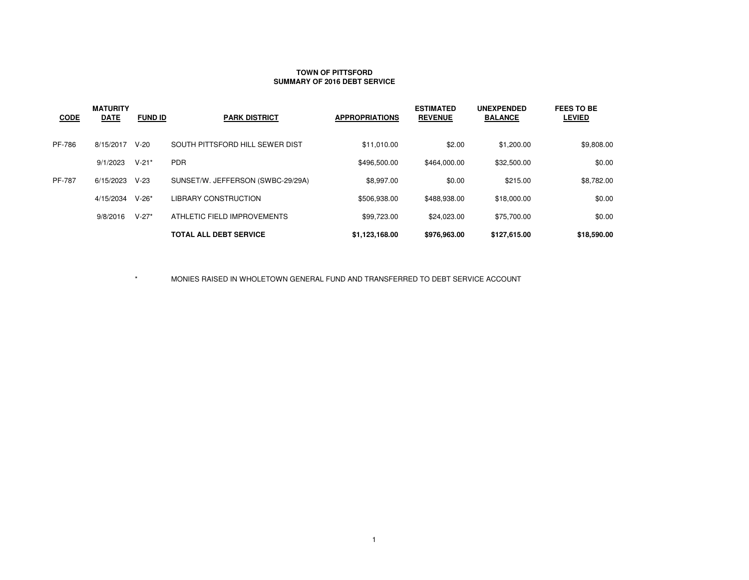### **TOWN OF PITTSFORDSUMMARY OF 2016 DEBT SERVICE**

| <b>CODE</b>   | <b>MATURITY</b><br><b>DATE</b> | <b>FUND ID</b> | <b>PARK DISTRICT</b>              | <b>APPROPRIATIONS</b> | <b>ESTIMATED</b><br><b>REVENUE</b> | <b>UNEXPENDED</b><br><b>BALANCE</b> | <b>FEES TO BE</b><br><b>LEVIED</b> |
|---------------|--------------------------------|----------------|-----------------------------------|-----------------------|------------------------------------|-------------------------------------|------------------------------------|
| PF-786        | 8/15/2017                      | $V-20$         | SOUTH PITTSFORD HILL SEWER DIST   | \$11,010.00           | \$2.00                             | \$1,200.00                          | \$9,808.00                         |
|               | 9/1/2023                       | $V-21*$        | <b>PDR</b>                        | \$496,500.00          | \$464.000.00                       | \$32,500.00                         | \$0.00                             |
| <b>PF-787</b> | 6/15/2023                      | $V-23$         | SUNSET/W. JEFFERSON (SWBC-29/29A) | \$8.997.00            | \$0.00                             | \$215.00                            | \$8,782.00                         |
|               | 4/15/2034                      | $V-26*$        | <b>LIBRARY CONSTRUCTION</b>       | \$506.938.00          | \$488.938.00                       | \$18,000.00                         | \$0.00                             |
|               | 9/8/2016                       | $V-27*$        | ATHLETIC FIELD IMPROVEMENTS       | \$99.723.00           | \$24.023.00                        | \$75,700.00                         | \$0.00                             |
|               |                                |                | <b>TOTAL ALL DEBT SERVICE</b>     | \$1,123,168.00        | \$976,963.00                       | \$127,615.00                        | \$18,590.00                        |

 $\star$ MONIES RAISED IN WHOLETOWN GENERAL FUND AND TRANSFERRED TO DEBT SERVICE ACCOUNT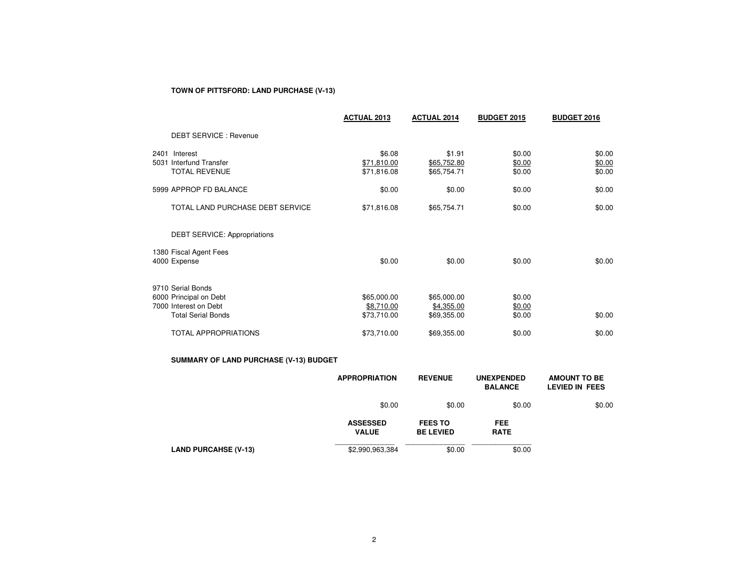# **TOWN OF PITTSFORD: LAND PURCHASE (V-13)**

|                                                                                                   | <b>ACTUAL 2013</b>                       | <b>ACTUAL 2014</b>                       | <b>BUDGET 2015</b>         | <b>BUDGET 2016</b>         |
|---------------------------------------------------------------------------------------------------|------------------------------------------|------------------------------------------|----------------------------|----------------------------|
| DEBT SERVICE : Revenue                                                                            |                                          |                                          |                            |                            |
| 2401 Interest<br>5031 Interfund Transfer<br><b>TOTAL REVENUE</b>                                  | \$6.08<br>\$71,810.00<br>\$71,816.08     | \$1.91<br>\$65,752.80<br>\$65,754.71     | \$0.00<br>\$0.00<br>\$0.00 | \$0.00<br>\$0.00<br>\$0.00 |
| 5999 APPROP FD BALANCE                                                                            | \$0.00                                   | \$0.00                                   | \$0.00                     | \$0.00                     |
| TOTAL LAND PURCHASE DEBT SERVICE                                                                  | \$71,816.08                              | \$65,754.71                              | \$0.00                     | \$0.00                     |
| <b>DEBT SERVICE: Appropriations</b>                                                               |                                          |                                          |                            |                            |
| 1380 Fiscal Agent Fees<br>4000 Expense                                                            | \$0.00                                   | \$0.00                                   | \$0.00                     | \$0.00                     |
| 9710 Serial Bonds<br>6000 Principal on Debt<br>7000 Interest on Debt<br><b>Total Serial Bonds</b> | \$65,000.00<br>\$8,710.00<br>\$73,710.00 | \$65,000.00<br>\$4,355.00<br>\$69,355.00 | \$0.00<br>\$0.00<br>\$0.00 | \$0.00                     |
| <b>TOTAL APPROPRIATIONS</b>                                                                       | \$73,710.00                              | \$69,355.00                              | \$0.00                     | \$0.00                     |

# **SUMMARY OF LAND PURCHASE (V-13) BUDGET**

|                             | <b>APPROPRIATION</b>            | <b>REVENUE</b>                     | <b>UNEXPENDED</b><br><b>BALANCE</b> | <b>AMOUNT TO BE</b><br>LEVIED IN FEES |
|-----------------------------|---------------------------------|------------------------------------|-------------------------------------|---------------------------------------|
|                             | \$0.00                          | \$0.00                             | \$0.00                              | \$0.00                                |
|                             | <b>ASSESSED</b><br><b>VALUE</b> | <b>FEES TO</b><br><b>BE LEVIED</b> | <b>FEE</b><br><b>RATE</b>           |                                       |
| <b>LAND PURCAHSE (V-13)</b> | \$2,990,963,384                 | \$0.00                             | \$0.00                              |                                       |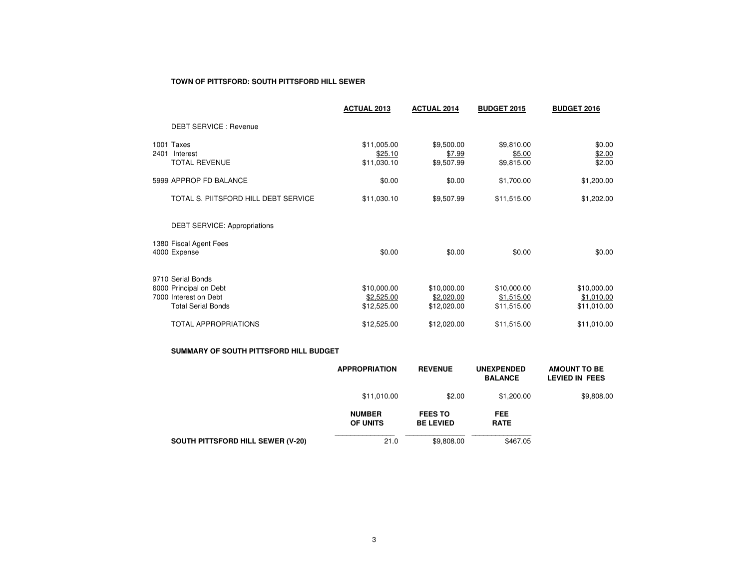#### **TOWN OF PITTSFORD: SOUTH PITTSFORD HILL SEWER**

|      |                                                                                                   | <b>ACTUAL 2013</b>                       | <b>ACTUAL 2014</b>                       | <b>BUDGET 2015</b>                       | <b>BUDGET 2016</b>                       |
|------|---------------------------------------------------------------------------------------------------|------------------------------------------|------------------------------------------|------------------------------------------|------------------------------------------|
|      | <b>DEBT SERVICE: Revenue</b>                                                                      |                                          |                                          |                                          |                                          |
| 2401 | 1001 Taxes<br>Interest<br><b>TOTAL REVENUE</b>                                                    | \$11,005.00<br>\$25.10<br>\$11,030.10    | \$9,500.00<br>\$7.99<br>\$9,507.99       | \$9,810.00<br>\$5.00<br>\$9,815.00       | \$0.00<br>\$2.00<br>\$2.00               |
|      | 5999 APPROP FD BALANCE                                                                            | \$0.00                                   | \$0.00                                   | \$1,700.00                               | \$1,200.00                               |
|      | TOTAL S. PIITSFORD HILL DEBT SERVICE                                                              | \$11,030.10                              | \$9,507.99                               | \$11,515.00                              | \$1,202.00                               |
|      | <b>DEBT SERVICE: Appropriations</b>                                                               |                                          |                                          |                                          |                                          |
|      | 1380 Fiscal Agent Fees<br>4000 Expense                                                            | \$0.00                                   | \$0.00                                   | \$0.00                                   | \$0.00                                   |
|      | 9710 Serial Bonds<br>6000 Principal on Debt<br>7000 Interest on Debt<br><b>Total Serial Bonds</b> | \$10,000.00<br>\$2,525.00<br>\$12,525.00 | \$10,000.00<br>\$2,020.00<br>\$12,020.00 | \$10,000.00<br>\$1,515.00<br>\$11,515.00 | \$10,000.00<br>\$1,010.00<br>\$11,010.00 |
|      | <b>TOTAL APPROPRIATIONS</b>                                                                       | \$12,525.00                              | \$12,020.00                              | \$11,515.00                              | \$11,010.00                              |

#### **SUMMARY OF SOUTH PITTSFORD HILL BUDGET**

|                                          | <b>APPROPRIATION</b>             | <b>REVENUE</b>                     | <b>UNEXPENDED</b><br><b>BALANCE</b> | <b>AMOUNT TO BE</b><br>LEVIED IN FEES |
|------------------------------------------|----------------------------------|------------------------------------|-------------------------------------|---------------------------------------|
|                                          | \$11,010.00                      | \$2.00                             | \$1,200.00                          | \$9,808.00                            |
|                                          | <b>NUMBER</b><br><b>OF UNITS</b> | <b>FEES TO</b><br><b>BE LEVIED</b> | <b>FEE</b><br><b>RATE</b>           |                                       |
| <b>SOUTH PITTSFORD HILL SEWER (V-20)</b> | 21.0                             | \$9,808.00                         | \$467.05                            |                                       |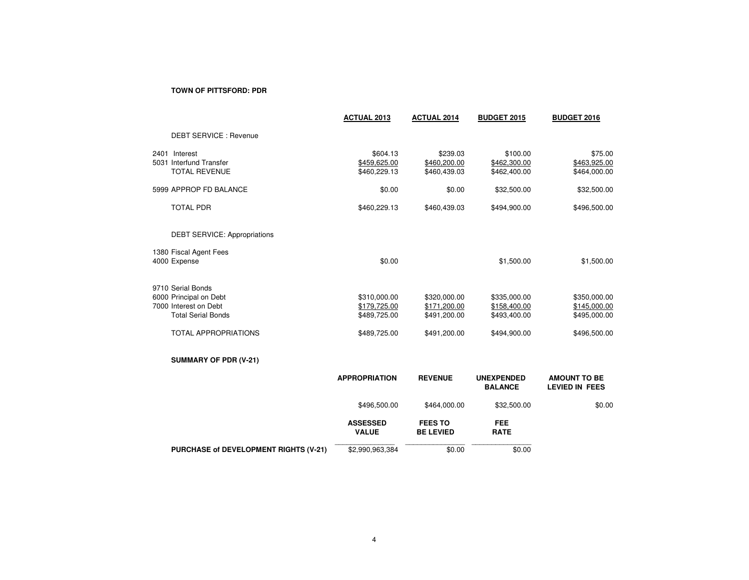### **TOWN OF PITTSFORD: PDR**

|                                                                                                                                  | <b>ACTUAL 2013</b>                                           | <b>ACTUAL 2014</b>                                           | <b>BUDGET 2015</b>                                           | <b>BUDGET 2016</b>                                           |
|----------------------------------------------------------------------------------------------------------------------------------|--------------------------------------------------------------|--------------------------------------------------------------|--------------------------------------------------------------|--------------------------------------------------------------|
| <b>DEBT SERVICE: Revenue</b>                                                                                                     |                                                              |                                                              |                                                              |                                                              |
| 2401 Interest<br>5031 Interfund Transfer<br><b>TOTAL REVENUE</b>                                                                 | \$604.13<br>\$459,625.00<br>\$460,229.13                     | \$239.03<br>\$460,200.00<br>\$460,439.03                     | \$100.00<br>\$462,300.00<br>\$462,400.00                     | \$75.00<br>\$463,925.00<br>\$464,000.00                      |
| 5999 APPROP FD BALANCE                                                                                                           | \$0.00                                                       | \$0.00                                                       | \$32,500.00                                                  | \$32,500.00                                                  |
| <b>TOTAL PDR</b>                                                                                                                 | \$460,229.13                                                 | \$460,439.03                                                 | \$494,900.00                                                 | \$496,500.00                                                 |
| <b>DEBT SERVICE: Appropriations</b>                                                                                              |                                                              |                                                              |                                                              |                                                              |
| 1380 Fiscal Agent Fees<br>4000 Expense                                                                                           | \$0.00                                                       |                                                              | \$1,500.00                                                   | \$1,500.00                                                   |
| 9710 Serial Bonds<br>6000 Principal on Debt<br>7000 Interest on Debt<br><b>Total Serial Bonds</b><br><b>TOTAL APPROPRIATIONS</b> | \$310,000.00<br>\$179,725.00<br>\$489,725.00<br>\$489,725.00 | \$320,000.00<br>\$171,200.00<br>\$491,200.00<br>\$491,200.00 | \$335,000.00<br>\$158,400.00<br>\$493,400.00<br>\$494,900.00 | \$350,000.00<br>\$145,000.00<br>\$495,000.00<br>\$496,500.00 |
| <b>SUMMARY OF PDR (V-21)</b>                                                                                                     |                                                              |                                                              |                                                              |                                                              |
|                                                                                                                                  | <b>APPROPRIATION</b>                                         | <b>REVENUE</b>                                               | <b>UNEXPENDED</b><br><b>BALANCE</b>                          | <b>AMOUNT TO BE</b><br><b>LEVIED IN FEES</b>                 |
|                                                                                                                                  | \$496,500.00                                                 | \$464,000.00                                                 | \$32,500.00                                                  | \$0.00                                                       |
|                                                                                                                                  | <b>ASSESSED</b><br><b>VALUE</b>                              | <b>FEES TO</b><br><b>BE LEVIED</b>                           | <b>FEE</b><br><b>RATE</b>                                    |                                                              |
| PURCHASE of DEVELOPMENT RIGHTS (V-21)                                                                                            | \$2,990,963,384                                              | \$0.00                                                       | \$0.00                                                       |                                                              |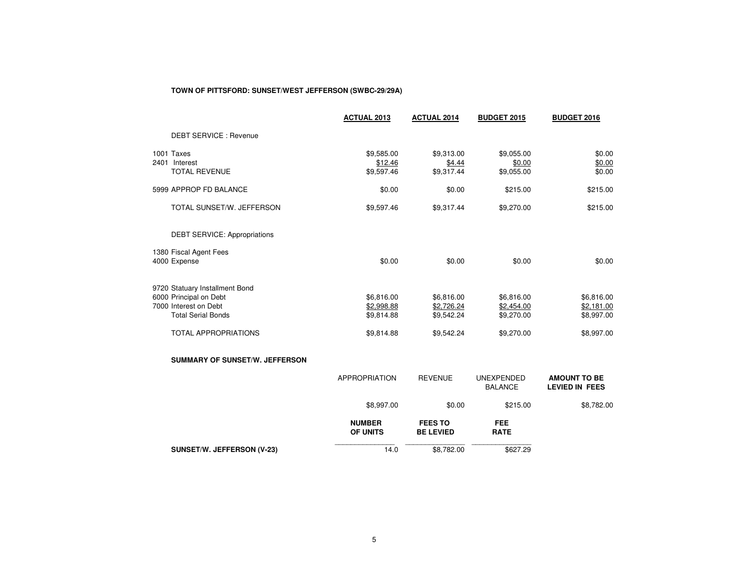# **TOWN OF PITTSFORD: SUNSET/WEST JEFFERSON (SWBC-29/29A)**

|                                                                                                                                               | <b>ACTUAL 2013</b>                                   | <b>ACTUAL 2014</b>                                   | <b>BUDGET 2015</b>                                   | <b>BUDGET 2016</b>                                   |
|-----------------------------------------------------------------------------------------------------------------------------------------------|------------------------------------------------------|------------------------------------------------------|------------------------------------------------------|------------------------------------------------------|
| <b>DEBT SERVICE: Revenue</b>                                                                                                                  |                                                      |                                                      |                                                      |                                                      |
| 1001 Taxes<br>2401 Interest<br><b>TOTAL REVENUE</b>                                                                                           | \$9,585.00<br>\$12.46<br>\$9,597.46                  | \$9,313.00<br>\$4.44<br>\$9,317.44                   | \$9,055.00<br>\$0.00<br>\$9,055.00                   | \$0.00<br>\$0.00<br>\$0.00                           |
| 5999 APPROP FD BALANCE                                                                                                                        | \$0.00                                               | \$0.00                                               | \$215.00                                             | \$215.00                                             |
| TOTAL SUNSET/W. JEFFERSON                                                                                                                     | \$9,597.46                                           | \$9,317.44                                           | \$9,270.00                                           | \$215.00                                             |
| <b>DEBT SERVICE: Appropriations</b>                                                                                                           |                                                      |                                                      |                                                      |                                                      |
| 1380 Fiscal Agent Fees<br>4000 Expense                                                                                                        | \$0.00                                               | \$0.00                                               | \$0.00                                               | \$0.00                                               |
| 9720 Statuary Installment Bond<br>6000 Principal on Debt<br>7000 Interest on Debt<br><b>Total Serial Bonds</b><br><b>TOTAL APPROPRIATIONS</b> | \$6,816.00<br>\$2,998.88<br>\$9,814.88<br>\$9,814.88 | \$6,816.00<br>\$2,726.24<br>\$9,542.24<br>\$9,542.24 | \$6,816.00<br>\$2,454.00<br>\$9,270.00<br>\$9,270.00 | \$6,816.00<br>\$2,181.00<br>\$8,997.00<br>\$8,997.00 |
| <b>SUMMARY OF SUNSET/W. JEFFERSON</b>                                                                                                         |                                                      |                                                      |                                                      |                                                      |
|                                                                                                                                               | <b>APPROPRIATION</b>                                 | <b>REVENUE</b>                                       | <b>UNEXPENDED</b><br><b>BALANCE</b>                  | <b>AMOUNT TO BE</b><br><b>LEVIED IN FEES</b>         |
|                                                                                                                                               | \$8,997.00                                           | \$0.00                                               | \$215.00                                             | \$8,782.00                                           |
|                                                                                                                                               | <b>NUMBER</b><br><b>OF UNITS</b>                     | <b>FEES TO</b><br><b>BE LEVIED</b>                   | <b>FEE</b><br><b>RATE</b>                            |                                                      |
| SUNSET/W. JEFFERSON (V-23)                                                                                                                    | 14.0                                                 | \$8,782.00                                           | \$627.29                                             |                                                      |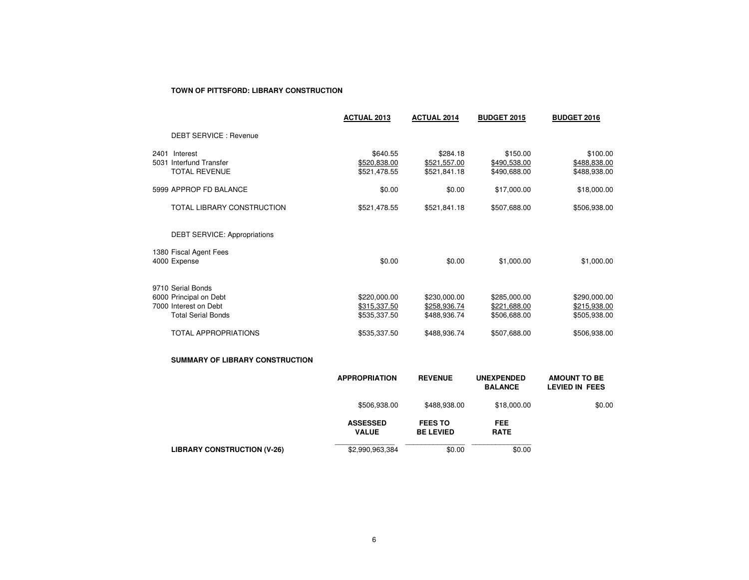#### **TOWN OF PITTSFORD: LIBRARY CONSTRUCTION**

|                                                                  | <b>ACTUAL 2013</b>                       | <b>ACTUAL 2014</b>                       | <b>BUDGET 2015</b>                       | <b>BUDGET 2016</b>                       |
|------------------------------------------------------------------|------------------------------------------|------------------------------------------|------------------------------------------|------------------------------------------|
| <b>DEBT SERVICE: Revenue</b>                                     |                                          |                                          |                                          |                                          |
| 2401 Interest<br>5031 Interfund Transfer<br><b>TOTAL REVENUE</b> | \$640.55<br>\$520,838.00<br>\$521,478.55 | \$284.18<br>\$521,557.00<br>\$521,841.18 | \$150.00<br>\$490,538.00<br>\$490,688.00 | \$100.00<br>\$488,838.00<br>\$488,938.00 |
| 5999 APPROP FD BALANCE                                           | \$0.00                                   | \$0.00                                   | \$17,000.00                              | \$18,000.00                              |
| TOTAL LIBRARY CONSTRUCTION                                       | \$521,478.55                             | \$521,841.18                             | \$507,688.00                             | \$506,938.00                             |
| <b>DEBT SERVICE: Appropriations</b>                              |                                          |                                          |                                          |                                          |
| 1380 Fiscal Agent Fees                                           |                                          |                                          |                                          |                                          |
| 4000 Expense                                                     | \$0.00                                   | \$0.00                                   | \$1,000.00                               | \$1,000.00                               |
| 9710 Serial Bonds                                                |                                          |                                          |                                          |                                          |
| 6000 Principal on Debt                                           | \$220,000.00                             | \$230,000.00                             | \$285,000.00                             | \$290,000.00                             |
| 7000 Interest on Debt                                            | \$315,337.50                             | \$258,936.74                             | \$221,688.00                             | \$215,938.00                             |
| <b>Total Serial Bonds</b>                                        | \$535,337.50                             | \$488,936.74                             | \$506,688.00                             | \$505,938.00                             |
| <b>TOTAL APPROPRIATIONS</b>                                      | \$535,337.50                             | \$488,936.74                             | \$507,688.00                             | \$506,938.00                             |
| <b>SUMMARY OF LIBRARY CONSTRUCTION</b>                           |                                          |                                          |                                          |                                          |
|                                                                  | <b>APPROPRIATION</b>                     | <b>REVENUE</b>                           | <b>UNEXPENDED</b><br><b>RAI ANCE</b>     | <b>AMOUNT TO BE</b><br>I FVIED IN FFFS   |

|                                    | <b>APPROPRIATION</b>            | <b>REVENUE</b>                     | <b>UNEXPENDED</b><br><b>BALANCE</b> | <b>AMOUNT TO BE</b><br>LEVIED IN FEES |
|------------------------------------|---------------------------------|------------------------------------|-------------------------------------|---------------------------------------|
|                                    | \$506,938.00                    | \$488,938.00                       | \$18,000.00                         | \$0.00                                |
|                                    | <b>ASSESSED</b><br><b>VALUE</b> | <b>FEES TO</b><br><b>BE LEVIED</b> | <b>FEE</b><br><b>RATE</b>           |                                       |
| <b>LIBRARY CONSTRUCTION (V-26)</b> | \$2,990,963,384                 | \$0.00                             | \$0.00                              |                                       |